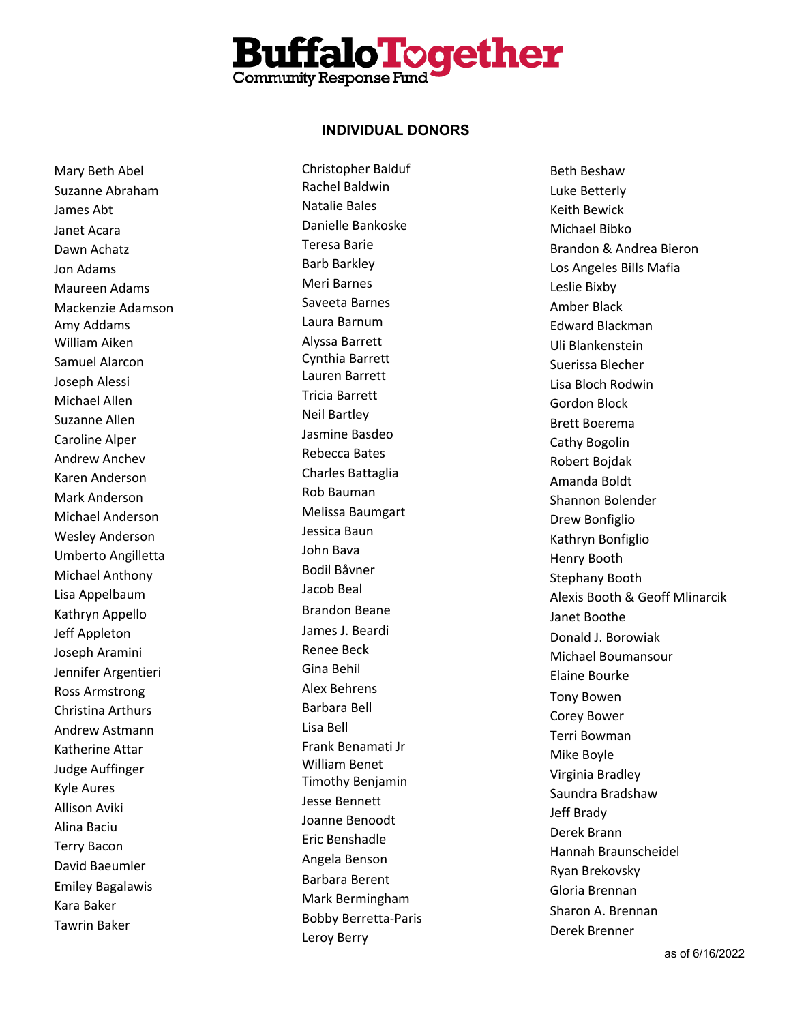

Mary Beth Abel Suzanne Abraham James Abt Janet Acara Dawn Achatz Jon Adams Maureen Adams Mackenzie Adamson Amy Addams William Aiken Samuel Alarcon Joseph Alessi Michael Allen Suzanne Allen Caroline Alper Andrew Anchev Karen Anderson Mark Anderson Michael Anderson Wesley Anderson Umberto Angilletta Michael Anthony Lisa Appelbaum Kathryn Appello Jeff Appleton Joseph Aramini Jennifer Argentieri Ross Armstrong Christina Arthurs Andrew Astmann Katherine Attar Judge Auffinger Kyle Aures Allison Aviki Alina Baciu Terry Bacon David Baeumler Emiley Bagalawis Kara Baker Tawrin Baker

Christopher Balduf Rachel Baldwin Natalie Bales Danielle Bankoske Teresa Barie Barb Barkley Meri Barnes Saveeta Barnes Laura Barnum Alyssa Barrett Cynthia Barrett Lauren Barrett Tricia Barrett Neil Bartley Jasmine Basdeo Rebecca Bates Charles Battaglia Rob Bauman Melissa Baumgart Jessica Baun John Bava Bodil Båvner Jacob Beal Brandon Beane James J. Beardi Renee Beck Gina Behil Alex Behrens Barbara Bell Lisa Bell Frank Benamati Jr William Benet Timothy Benjamin Jesse Bennett Joanne Benoodt Eric Benshadle Angela Benson Barbara Berent Mark Bermingham Bobby Berretta -Paris Leroy Berry

Beth Beshaw Luke Betterly Keith Bewick Michael Bibko Brandon & Andrea Bieron Los Angeles Bills Mafia Leslie Bixby Amber Black Edward Blackman Uli Blankenstein Suerissa Blecher Lisa Bloch Rodwin Gordon Block Brett Boerema Cathy Bogolin Robert Bojdak Amanda Boldt Shannon Bolender Drew Bonfiglio Kathryn Bonfiglio Henry Booth Stephany Booth Alexis Booth & Geoff Mlinarcik Janet Boothe Donald J. Borowiak Michael Boumansour Elaine Bourke Tony Bowen Corey Bower Terri Bowman Mike Boyle Virginia Bradley Saundra Bradshaw Jeff Brady Derek Brann Hannah Braunscheidel Ryan Brekovsky Gloria Brennan Sharon A. Brennan Derek Brenner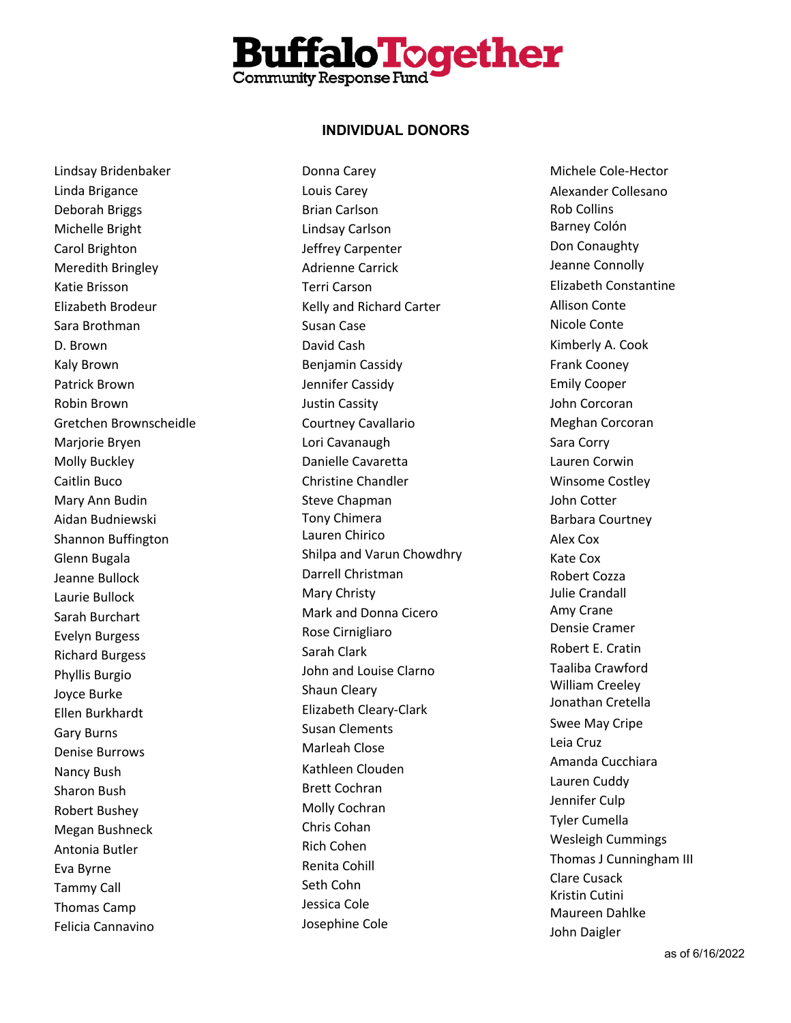

Lindsay Bridenbaker Linda Brigance Deborah Briggs Michelle Bright Carol Brighton Meredith Bringley Katie Brisson Elizabeth Brodeur Sara Brothman D. Brown Kaly Brown Patrick Brown Robin Brown Gretchen Brownscheidle Marjorie Bryen Molly Buckley Caitlin Buco Mary Ann Budin Aidan Budniewski Shannon Buffington Glenn Bugala Jeanne Bullock Laurie Bullock Sarah Burchart Evelyn Burgess Richard Burgess Phyllis Burgio Joyce Burke Ellen Burkhardt Gary Burns Denise Burrows Nancy Bush Sharon Bush Robert Bushey Megan Bushneck Antonia Butler Eva Byrne Tammy Call Thomas Camp Felicia Cannavino

Donna Carey Louis Carey Brian Carlson Lindsay Carlson Jeffrey Carpenter Adrienne Carrick Terri Carson Kelly and Richard Carter Susan Case David Cash Benjamin Cassidy Jennifer Cassidy Justin Cassity Courtney Cavallario Lori Cavanaugh Danielle Cavaretta Christine Chandler Steve Chapman Tony Chimera Lauren Chirico Shilpa and Varun Chowdhry Darrell Christman Mary Christy Mark and Donna Cicero Rose Cirnigliaro Sarah Clark John and Louise Clarno Shaun Cleary Elizabeth Cleary -Clark Susan Clements Marleah Close Kathleen Clouden Brett Cochran Molly Cochran Chris Cohan Rich Cohen Renita Cohill Seth Cohn Jessica Cole Josephine Cole

Michele Cole -Hector Alexander Collesano Rob Collins Barney Col ó n Don Conaughty Jeanne Connolly Elizabeth Constantine Allison Cont e Nicole Conte Kimberly A. Cook Frank Cooney Emily Cooper John Corcoran Meghan Corcoran Sara Corry Lauren Corwin Winsome Costley John Cotter Barbara Courtney Alex Cox Kate Cox Robert Cozza Julie Crandall Amy Crane Den s ie Cramer Robert E. Cratin Taaliba Crawford William Creeley Jonathan Cretella Swee May Cripe Leia Cruz Amanda Cucchiara Lauren Cuddy Jennifer Culp Tyler Cumella Wesleigh Cummings Thomas J Cunningham III Clare Cusack Kristin Cutini Maureen Dahlke John Daigler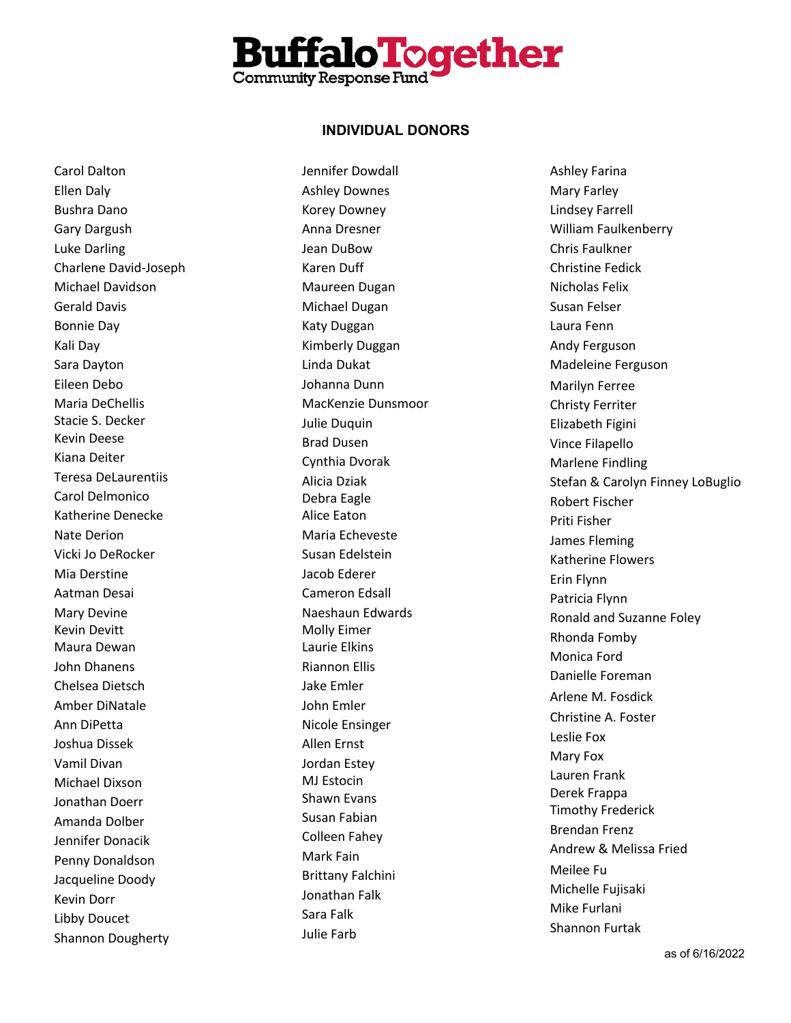

Carol Dalton Ellen Daly Bushra Dano Gary Dargush Luke Darling Charlene David -Joseph Michael Davidson Gerald Davis Bonnie Day Kali Day Sara Dayton Eileen Debo Maria DeChellis Stacie S. Decker Kevin Deese Kiana Deiter Teresa DeLaurentiis Carol Delmonico Katherine Denecke Nate Derion Vicki Jo DeRocker Mia Derstine Aatman Desai Mary Devine Kevin Devitt Maura Dewan John Dhanens Chelsea Dietsch Amber DiNatale Ann DiPetta Joshua Dissek Vamil Divan Michael Dixson Jonathan Doerr Amanda Dolber Jennifer Donacik Penny Donaldson Jacqueline Doody Kevin Dorr Libby Doucet Shannon Dougherty

Jennifer Dowdall Ashley Downes Korey Downey Anna Dresner Jean DuBow Karen Duff Maureen Dugan Michael Dugan Katy Duggan Kimberly Duggan Linda Dukat Johanna Dunn MacKenzie Dunsmoor Julie Duquin Brad Dusen Cynthia Dvorak Alicia Dziak Debra Eagle Alice Eaton Maria Echeveste Susan Edelstein Jacob Ederer Cameron Edsall Naeshaun Edwards Molly Eimer Laurie Elkins Riannon Ellis Jake Emler John Emler Nicole Ensinger Allen Erns t Jordan Estey MJ Estocin Shawn Evans Susan Fabian Colleen Fahey Mark Fain Brittany Falchini Jonathan Falk Sara Falk Julie Farb

Ashley Farina Mary Farley Lindsey Farrell William Faulkenberry Chris Faulkner Christine Fedick Nicholas Felix Susan Felser Laura Fenn Andy Ferguson Madeleine Ferguson Marilyn Ferree Christy Ferriter Elizabeth Figini Vince Filapello Marlene Findling Stefan & Carolyn Finney LoBuglio Robert Fischer Priti Fisher James Fleming Katherine Flowers Erin Flynn Patricia Flynn Ronald and Suzanne Foley Rhonda Fomby Monica Ford Danielle Foreman Arlene M. Fosdick Christine A. Foster Leslie Fox Mary Fox Lauren Frank Derek Frappa Timothy Frederick Brendan Frenz Andrew & Melissa Fried Meilee Fu Michelle Fujisaki Mike Furlani Shannon Furtak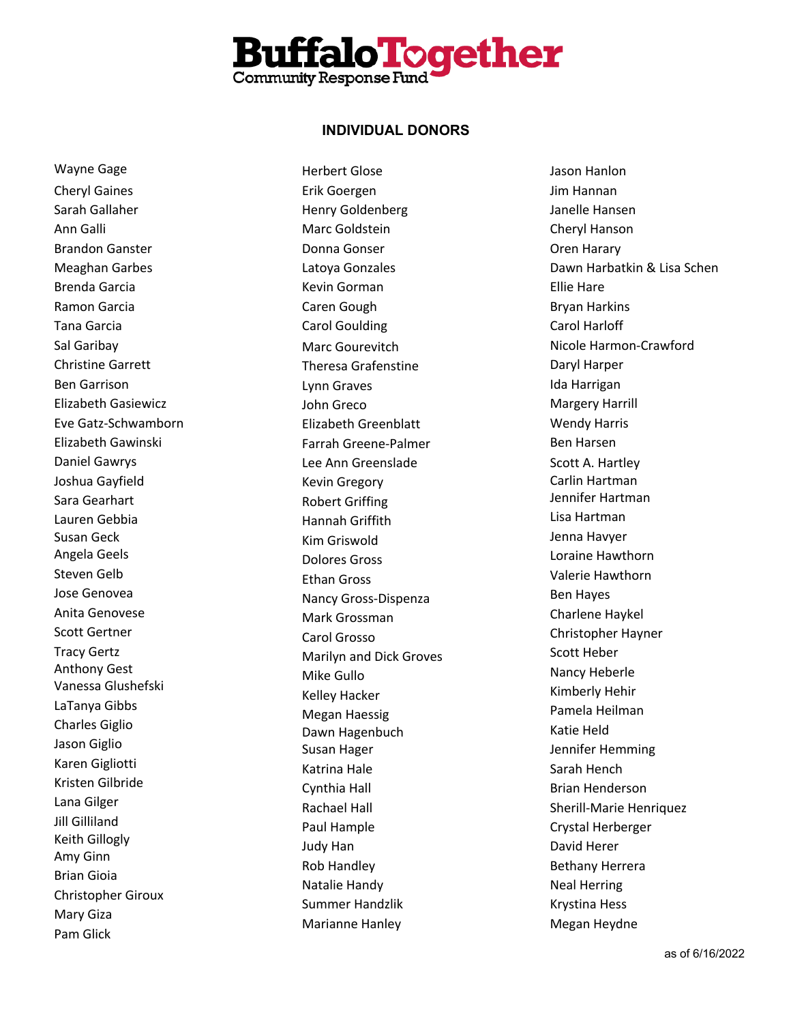

Wayne Gage Cheryl Gaines Sarah Gallaher Ann Galli Brandon Ganster Meaghan Garbes Brenda Garcia Ramon Garcia Tana Garcia Sal Garibay Christine Garrett Ben Garrison Elizabeth Gasiewicz Eve Gatz -Schwamborn Elizabeth Gawinski Daniel Gawrys Joshua Gayfield Sara Gearhart Lauren Gebbia Susan Geck Angela Geels Steven Gelb Jose Genovea Anita Genovese Scott Gertner Tracy Gertz Anthony Gest Vanessa Glushefski LaTanya Gibbs Charles Giglio Jason Giglio Karen Gigliotti Kristen Gilbride Lana Gilger Jill Gilliland Keith Gillogly Amy Ginn Brian Gioia Christopher Giroux Mary Giza Pam Glick

Herbert Glose Erik Goergen Henry Goldenberg Marc Goldstein Donna Gonser Latoya Gonzales Kevin Gorman Caren Gough Carol Goulding Marc Gourevitch Theresa Grafenstine Lynn Graves John Greco Elizabeth Greenblatt Farrah Greene -Palmer Lee Ann Greenslade Kevin Gregory Robert Griffing Hannah Griffith Kim Griswold Dolores Gross Ethan Gross Nancy Gross -Dispenza Mark Grossman Carol Grosso Marilyn and Dick Groves Mike Gullo Kelley Hacker Megan Haessig Dawn Hagenbuch Susan Hager Katrina Hale Cynthia Hall Rachael Hall Paul Hample Judy Han Rob Handley Natalie Handy Summer Handzlik Marianne Hanley

Jason Hanlon Jim Hannan Janelle Hansen Cheryl Hanson Oren Harary Dawn Harbatkin & Lisa Schen Ellie Hare Bryan Harkins Carol Harloff Nicole Harmon -Crawford Daryl Harper Ida Harrigan Margery Harrill Wendy Harris Ben Harsen Scott A. Hartley Carlin Hartman Jennifer Hartman Lisa Hartman Jenna Havyer Loraine Hawthorn Valerie Hawthorn Ben Hayes Charlene Haykel Christopher Hayner Scott Heber Nancy Heberle Kimberly Hehir Pamela Heilman Katie Held Jennifer Hemming Sarah Hench Brian Henderson Sherill -Marie Henriquez Crystal Herberger David Herer Bethany Herrera Neal Herring Krystina Hess Megan Heydne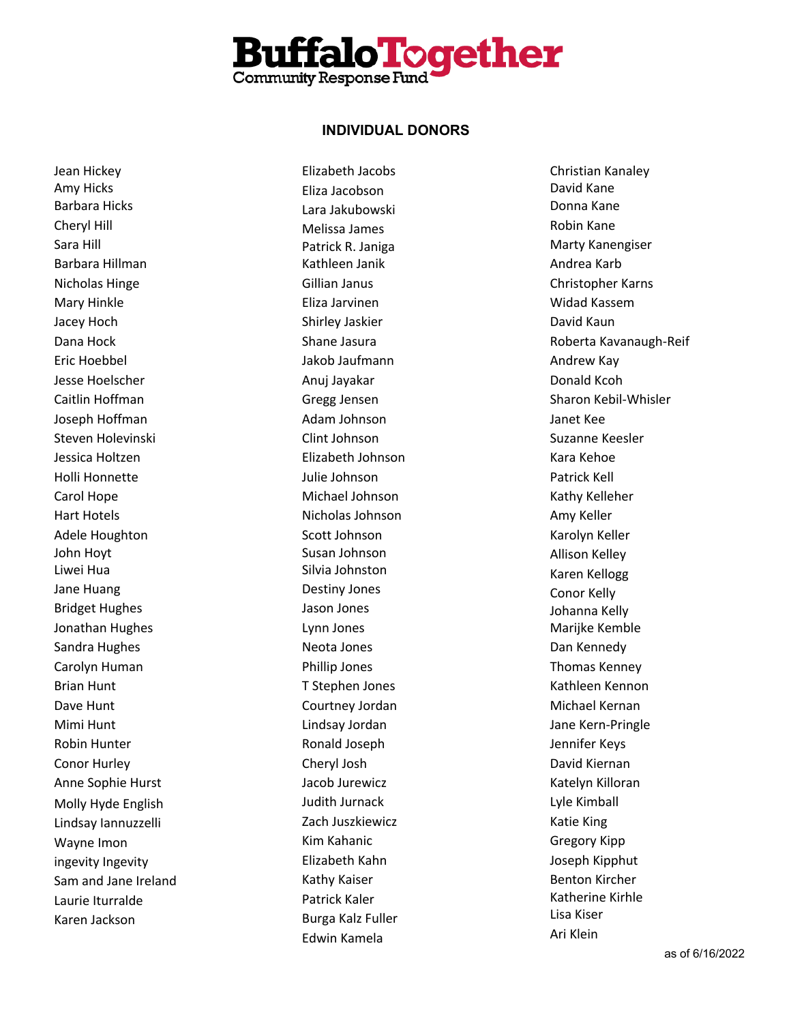

Jean Hickey Amy Hicks Barbara Hicks Cheryl Hill Sara Hill Barbara Hillman Nicholas Hinge Mary Hinkle Jacey Hoch Dana Hock Eric Hoebbel Jesse Hoelscher Caitlin Hoffman Joseph Hoffman Steven Holevinski Jessica Holtzen Holli Honnette Carol Hope Hart Hotels Adele Houghton John Hoyt Liwei Hua Jane Huang Bridget Hughes Jonathan Hughes Sandra Hughes Carolyn Human Brian Hunt Dave Hunt Mimi Hunt Robin Hunter Conor Hurley Anne Sophie Hurst Molly Hyde English Lindsay Iannuzzelli Wayne Imon ingevity Ingevity Sam and Jane Ireland Laurie Iturralde Karen Jackson

Elizabeth Jacobs Eliza Jacobson Lara Jakubowski Melissa James Patrick R. Janiga Kathleen Janik Gillian Janus Eliza Jarvinen Shirley Jaskier Shane Jasura Jakob Jaufmann Anuj Jayakar Gregg Jensen Adam Johnson Clint Johnson Elizabeth Johnson Julie Johnson Michael Johnson Nicholas Johnson Scott Johnson Susan Johnson Silvia Johnston Destiny Jones Jason Jones Lynn Jones Neota Jones Phillip Jones T Stephen Jones Courtney Jordan Lindsay Jordan Ronald Joseph Cheryl Josh Jacob Jurewicz Judith Jurnack Zach Juszkiewicz Kim Kahanic Elizabeth Kahn Kathy Kaiser Patrick Kaler Burga Kalz Fuller Edwin Kamela

Christian Kanaley David Kane Donna Kane Robin Kane Marty Kanengiser Andrea Karb Christopher Karns Widad Kassem David Kaun Roberta Kavanaugh-Reif Andrew Kay Donald Kcoh Sharon Kebil-Whisler Janet Kee Suzanne Keesler Kara Kehoe Patrick Kell Kathy Kelleher Amy Keller Karolyn Keller Allison Kelley Karen Kellogg Conor Kelly Johanna Kelly Marijke Kemble Dan Kennedy Thomas Kenney Kathleen Kennon Michael Kernan Jane Kern-Pringle Jennifer Keys David Kiernan Katelyn Killoran Lyle Kimball Katie King Gregory Kipp Joseph Kipphut Benton Kircher Katherine Kirhle Lisa Kiser Ari Klein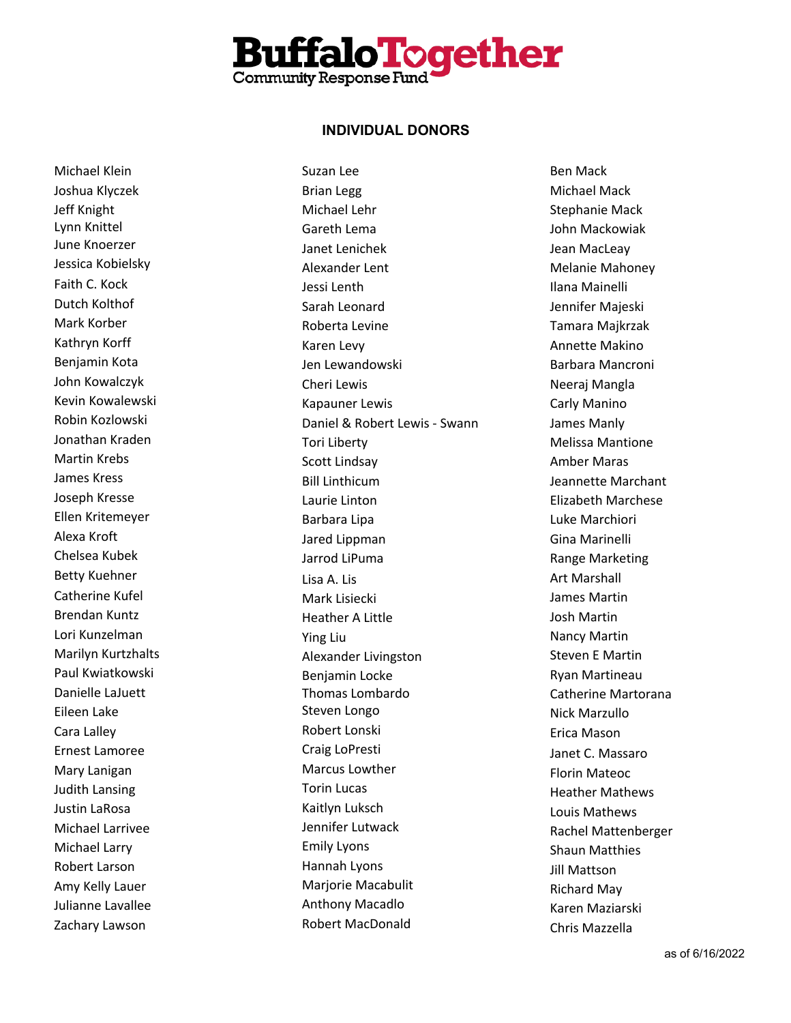

Michael Klein Joshua Klyczek Jeff Knight Lynn Knittel June Knoerzer Jessica Kobielsky Faith C. Kock Dutch Kolthof Mark Korber Kathryn Korff Benjamin Kota John Kowalczyk Kevin Kowalewski Robin Kozlowski Jonathan Kraden Martin Krebs James Kress Joseph Kresse Ellen Kritemeyer Alexa Kroft Chelsea Kubek Betty Kuehner Catherine Kufel Brendan Kuntz Lori Kunzelman Marilyn Kurtzhalts Paul Kwiatkowski Danielle LaJuett Eileen Lake Cara Lalley Ernest Lamoree Mary Lanigan Judith Lansing Justin LaRosa Michael Larrivee Michael Larry Robert Larson Amy Kelly Lauer Julianne Lavallee Zachary Lawson

Suzan Lee Brian Legg Michael Lehr Gareth Lema Janet Lenichek Alexander Lent Jessi Lenth Sarah Leonard Roberta Levine Karen Levy Jen Lewandowski Cheri Lewis Kapauner Lewis Daniel & Robert Lewis - Swann Tori Liberty Scott Lindsay Bill Linthicum Laurie Linton Barbara Lipa Jared Lippman Jarrod LiPuma Lisa A. Lis Mark Lisiecki Heather A Little Ying Liu Alexander Livingston Benjamin Locke Thomas Lombardo Steven Longo Robert Lonski Craig LoPresti Marcus Lowther Torin Lucas Kaitlyn Luksch Jennifer Lutwack Emily Lyons Hannah Lyons Marjorie Macabulit Anthony Macadlo Robert MacDonald

Ben Mack Michael Mack Stephanie Mack John Mackowiak Jean MacLeay Melanie Mahoney Ilana Mainelli Jennifer Majeski Tamara Majkrzak Annette Makino Barbara Mancroni Neeraj Mangla Carly Manino James Manly Melissa Mantione Amber Maras Jeannette Marchant Elizabeth Marchese Luke Marchiori Gina Marinelli Range Marketing Art Marshall James Martin Josh Martin Nancy Martin Steven E Martin Ryan Martineau Catherine Martorana Nick Marzullo Erica Mason Janet C. Massaro Florin Mateoc Heather Mathews Louis Mathews Rachel Mattenberger Shaun Matthies Jill Mattson Richard May Karen Maziarski Chris Mazzella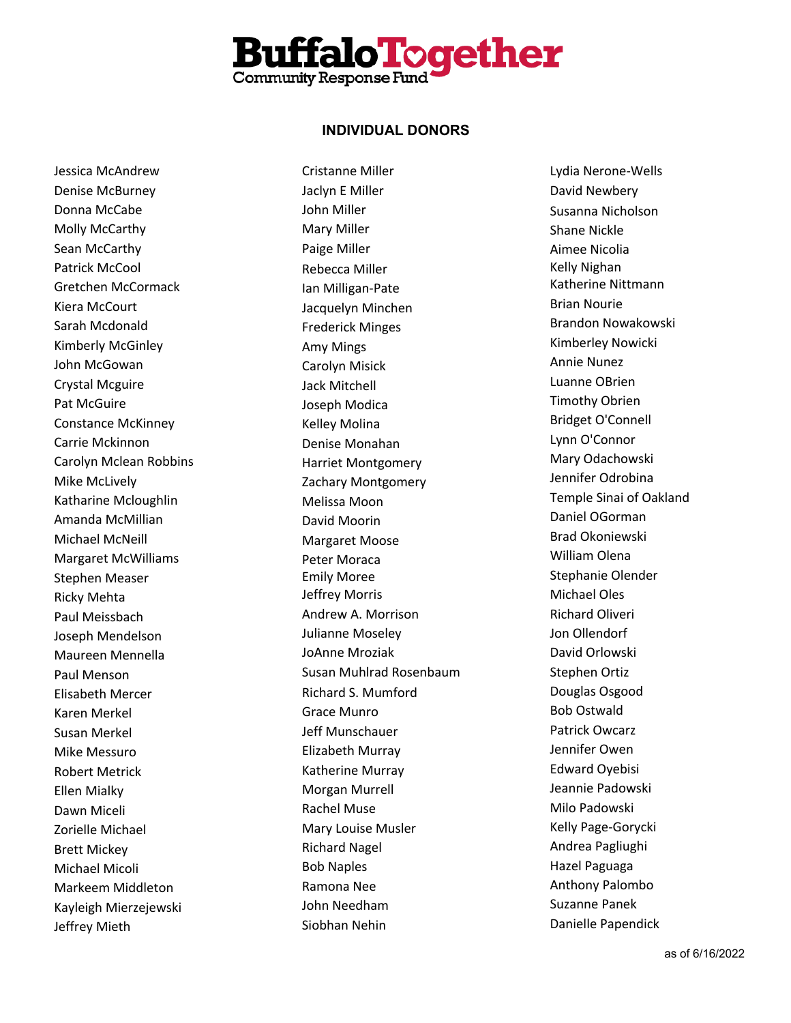

Jessica McAndrew Denise McBurney Donna McCabe Molly McCarthy Sean McCarthy Patrick McCool Gretchen McCormack Kiera McCourt Sarah Mcdonald Kimberly McGinley John McGowan Crystal Mcguire Pat McGuire Constance McKinney Carrie Mckinnon Carolyn Mclean Robbins Mike McLively Katharine Mcloughlin Amanda McMillian Michael McNeill Margaret McWilliams Stephen Measer Ricky Mehta Paul Meissbach Joseph Mendelson Maureen Mennella Paul Menson Elisabeth Mercer Karen Merkel Susan Merkel Mike Messuro Robert Metrick Ellen Mialky Dawn Miceli Zorielle Michael Brett Mickey Michael Micoli Markeem Middleton Kayleigh Mierzejewski Jeffrey Mieth

Cristanne Miller Jaclyn E Miller John Miller Mary Miller Paige Miller Rebecca Miller Ian Milligan-Pate Jacquelyn Minchen Frederick Minges Amy Mings Carolyn Misick Jack Mitchell Joseph Modica Kelley Molina Denise Monahan Harriet Montgomery Zachary Montgomery Melissa Moon David Moorin Margaret Moose Peter Moraca Emily Moree Jeffrey Morris Andrew A. Morrison Julianne Moseley JoAnne Mroziak Susan Muhlrad Rosenbaum Richard S. Mumford Grace Munro Jeff Munschauer Elizabeth Murray Katherine Murray Morgan Murrell Rachel Muse Mary Louise Musler Richard Nagel Bob Naples Ramona Nee John Needham Siobhan Nehin

Lydia Nerone-Wells David Newbery Susanna Nicholson Shane Nickle Aimee Nicolia Kelly Nighan Katherine Nittmann Brian Nourie Brandon Nowakowski Kimberley Nowicki Annie Nunez Luanne OBrien Timothy Obrien Bridget O'Connell Lynn O'Connor Mary Odachowski Jennifer Odrobina Temple Sinai of Oakland Daniel OGorman Brad Okoniewski William Olena Stephanie Olender Michael Oles Richard Oliveri Jon Ollendorf David Orlowski Stephen Ortiz Douglas Osgood Bob Ostwald Patrick Owcarz Jennifer Owen Edward Oyebisi Jeannie Padowski Milo Padowski Kelly Page-Gorycki Andrea Pagliughi Hazel Paguaga Anthony Palombo Suzanne Panek Danielle Papendick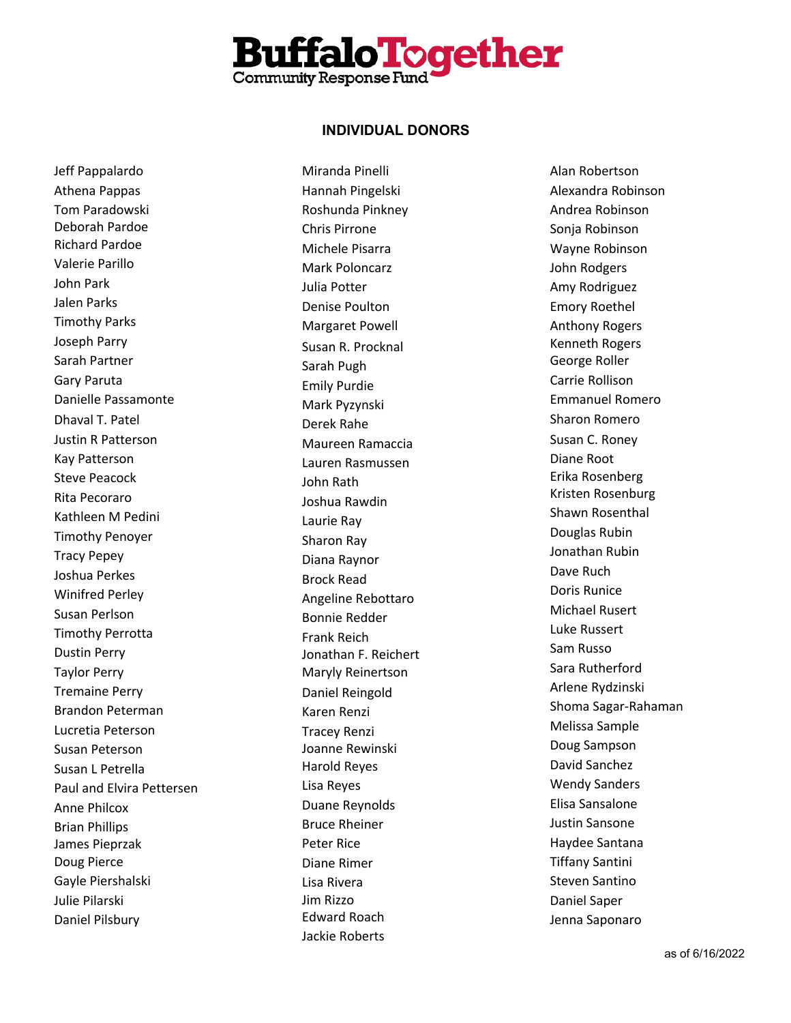

Jeff Pappalardo Athena Pappas Tom Paradowski Deborah Pardoe Richard Pardoe Valerie Parillo John Park Jalen Parks Timothy Parks Joseph Parry Sarah Partner Gary Paruta Danielle Passamonte Dhaval T. Patel Justin R Patterson Kay Patterson Steve Peacock Rita Pecoraro Kathleen M Pedini Timothy Penoyer Tracy Pepey Joshua Perkes Winifred Perley Susan Perlson Timothy Perrotta Dustin Perry Taylor Perry Tremaine Perry Brandon Peterman Lucretia Peterson Susan Peterson Susan L Petrella Paul and Elvira Pettersen Anne Philcox Brian Phillips James Pieprzak Doug Pierce Gayle Piershalski Julie Pilarski Daniel Pilsbury

Miranda Pinelli Hannah Pingelski Roshunda Pinkney Chris Pirrone Michele Pisarra Mark Poloncarz Julia Potter Denise Poulton Margaret Powell Susan R. Procknal Sarah Pugh Emily Purdie Mark Pyzynski Derek Rahe Maureen Ramaccia Lauren Rasmussen John Rath Joshua Rawdin Laurie Ray Sharon Ray Diana Raynor Brock Read Angeline Rebottaro Bonnie Redder Frank Reich Jonathan F. Reichert Maryly Reinertson Daniel Reingold Karen Renzi Tracey Renzi Joanne Rewinski Harold Reyes Lisa Reyes Duane Reynolds Bruce Rheiner Peter Rice Diane Rimer Lisa Rivera Jim Rizzo Edward Roach Jackie Roberts

Alan Robertson Alexandra Robinson Andrea Robinson Sonja Robinson Wayne Robinson John Rodgers Amy Rodriguez Emory Roethel Anthony Rogers Kenneth Rogers George Roller Carrie Rollison Emmanuel Romero Sharon Romero Susan C. Roney Diane Root Erika Rosenberg Kristen Rosenburg Shawn Rosenthal Douglas Rubin Jonathan Rubin Dave Ruch Doris Runice Michael Rusert Luke Russert Sam Russo Sara Rutherford Arlene Rydzinski Shoma Sagar -Rahaman Melissa Sample Doug Sampson David Sanchez Wendy Sanders Elisa Sansalone Justin Sansone Haydee Santana Tiffany Santini Steven Santino Daniel Saper Jenna Saponaro

as of 6 /16/202 2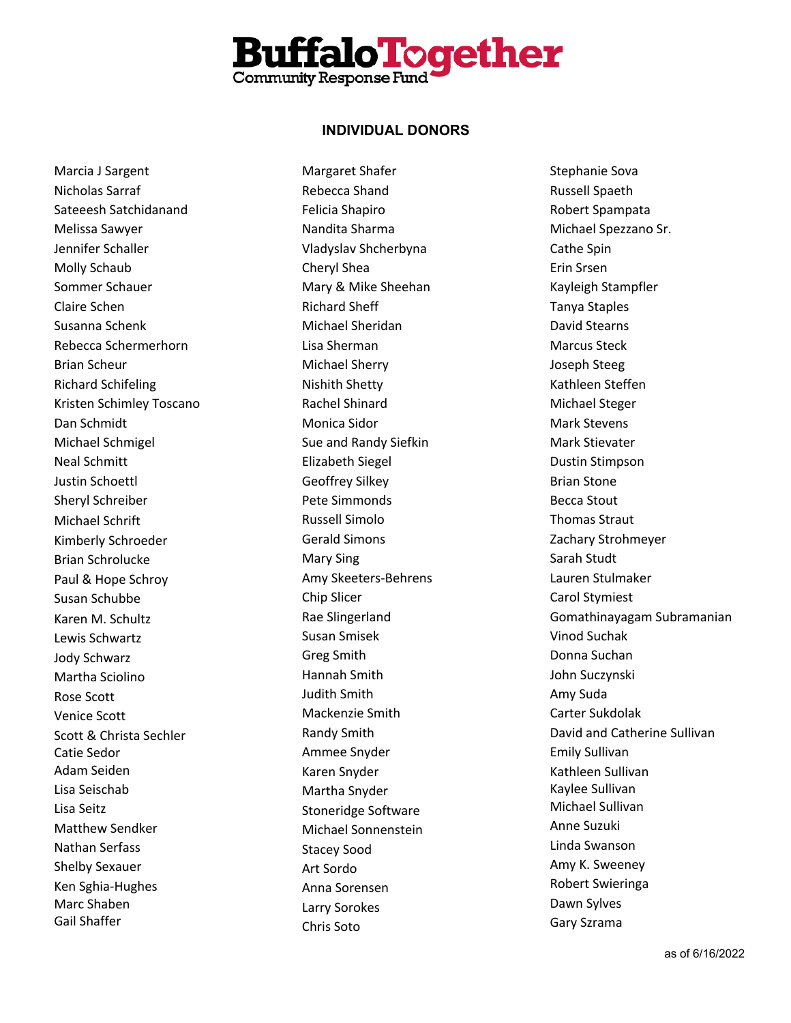

Marcia J Sargent Nicholas Sarraf Sateeesh Satchidanand Melissa Sawyer Jennifer Schaller Molly Schaub Sommer Schauer Claire Schen Susanna Schenk Rebecca Schermerhorn Brian Scheur Richard Schifeling Kristen Schimley Toscano Dan Schmidt Michael Schmigel Neal Schmitt Justin Schoettl Sheryl Schreiber Michael Schrift Kimberly Schroeder Brian Schrolucke Paul & Hope Schroy Susan Schubbe Karen M. Schultz Lewis Schwartz Jody Schwarz Martha Sciolino Rose Scott Venice Scott Scott & Christa Sechler Catie Sedor Adam Seiden Lisa Seischab Lisa Seitz Matthew Sendker Nathan Serfass Shelby Sexauer Ken Sghia-Hughes Marc Shaben Gail Shaffer

Margaret Shafer Rebecca Shand Felicia Shapiro Nandita Sharma Vladyslav Shcherbyna Cheryl Shea Mary & Mike Sheehan Richard Sheff Michael Sheridan Lisa Sherman Michael Sherry Nishith Shetty Rachel Shinard Monica Sidor Sue and Randy Siefkin Elizabeth Siegel Geoffrey Silkey Pete Simmonds Russell Simolo Gerald Simons Mary Sing Amy Skeeters-Behrens Chip Slicer Rae Slingerland Susan Smisek Greg Smith Hannah Smith Judith Smith Mackenzie Smith Randy Smith Ammee Snyder Karen Snyder Martha Snyder Stoneridge Software Michael Sonnenstein Stacey Sood Art Sordo Anna Sorensen Larry Sorokes Chris Soto

Stephanie Sova Russell Spaeth Robert Spampata Michael Spezzano Sr. Cathe Spin Erin Srsen Kayleigh Stampfler Tanya Staples David Stearns Marcus Steck Joseph Steeg Kathleen Steffen Michael Steger Mark Stevens Mark Stievater Dustin Stimpson Brian Stone Becca Stout Thomas Straut Zachary Strohmeyer Sarah Studt Lauren Stulmaker Carol Stymiest Gomathinayagam Subramanian Vinod Suchak Donna Suchan John Suczynski Amy Suda Carter Sukdolak David and Catherine Sullivan Emily Sullivan Kathleen Sullivan Kaylee Sullivan Michael Sullivan Anne Suzuki Linda Swanson Amy K. Sweeney Robert Swieringa Dawn Sylves Gary Szrama